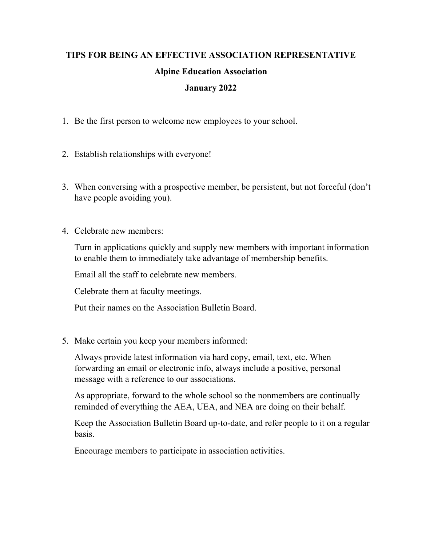## **TIPS FOR BEING AN EFFECTIVE ASSOCIATION REPRESENTATIVE Alpine Education Association January 2022**

- 1. Be the first person to welcome new employees to your school.
- 2. Establish relationships with everyone!
- 3. When conversing with a prospective member, be persistent, but not forceful (don't have people avoiding you).
- 4. Celebrate new members:

Turn in applications quickly and supply new members with important information to enable them to immediately take advantage of membership benefits.

Email all the staff to celebrate new members.

Celebrate them at faculty meetings.

Put their names on the Association Bulletin Board.

5. Make certain you keep your members informed:

Always provide latest information via hard copy, email, text, etc. When forwarding an email or electronic info, always include a positive, personal message with a reference to our associations.

As appropriate, forward to the whole school so the nonmembers are continually reminded of everything the AEA, UEA, and NEA are doing on their behalf.

Keep the Association Bulletin Board up-to-date, and refer people to it on a regular basis.

Encourage members to participate in association activities.